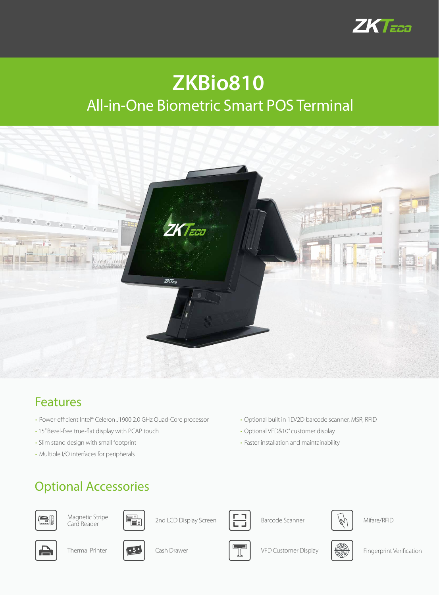

# **ZKBio810** All-in-One Biometric Smart POS Terminal



### Features

- Power-efficient Intel® Celeron J1900 2.0 GHz Quad-Core processor
- 15" Bezel-free true-flat display with PCAP touch
- Slim stand design with small footprint
- Multiple I/O interfaces for peripherals

#### • Optional built in 1D/2D barcode scanner, MSR, RFID • Optional VFD&10" customer display

• Faster installation and maintainability

### Optional Accessories







 $\mathbb{F}_{\mathbb{E}}$  2nd LCD Display Screen











Thermal Printer  $\sqrt{52}$  Cash Drawer  $\sqrt{57}$  VFD Customer Display  $\frac{d}{\sqrt{2}}$  Fingerprint Verification